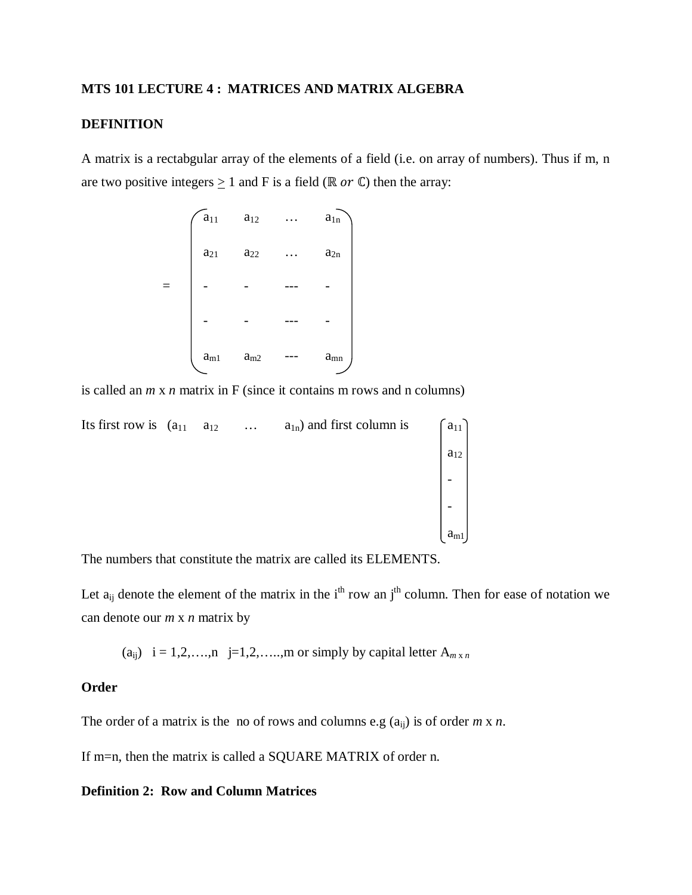### **MTS 101 LECTURE 4 : MATRICES AND MATRIX ALGEBRA**

#### **DEFINITION**

A matrix is a rectabgular array of the elements of a field (i.e. on array of numbers). Thus if m, n are two positive integers  $\geq 1$  and F is a field (ℝ or ℂ) then the array:

$$
= \begin{pmatrix} a_{11} & a_{12} & \dots & a_{1n} \\ a_{21} & a_{22} & \dots & a_{2n} \\ \vdots & \vdots & \ddots & \vdots \\ a_{m1} & a_{m2} & \dots & a_{mn} \end{pmatrix}
$$

is called an *m* x *n* matrix in F (since it contains m rows and n columns)

Its first row is  $(a_{11} \ a_{12} \ \ldots \ a_{1n})$  and first column is  $a_{12}$ -  $a_{\rm m1}$ 

The numbers that constitute the matrix are called its ELEMENTS.

Let  $a_{ij}$  denote the element of the matrix in the i<sup>th</sup> row an j<sup>th</sup> column. Then for ease of notation we can denote our *m* x *n* matrix by

(a<sub>ij</sub>)  $i = 1, 2, \ldots, n$  j=1,2,....,m or simply by capital letter  $A_{m \times n}$ 

### **Order**

The order of a matrix is the no of rows and columns e.g  $(a_{ii})$  is of order  $m \times n$ .

If m=n, then the matrix is called a SQUARE MATRIX of order n.

### **Definition 2: Row and Column Matrices**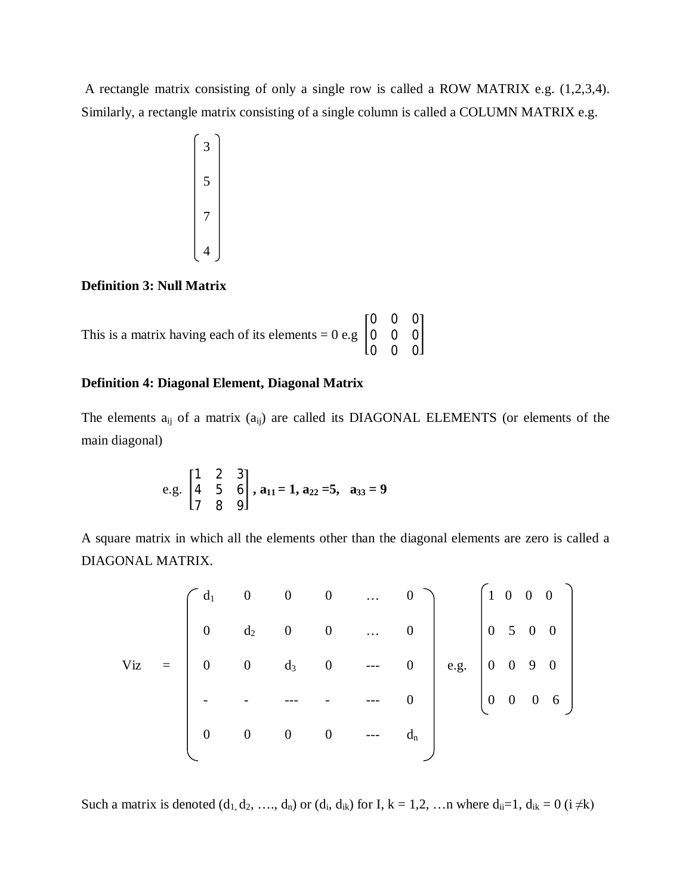A rectangle matrix consisting of only a single row is called a ROW MATRIX e.g. (1,2,3,4). Similarly, a rectangle matrix consisting of a single column is called a COLUMN MATRIX e.g.

$$
\begin{bmatrix} 3 \\ 5 \\ 7 \\ 4 \end{bmatrix}
$$

# **Definition 3: Null Matrix**

| This is a matrix having each of its elements = 0 e.g $\begin{bmatrix} 0 & 0 & 0 \\ 0 & 0 & 0 \\ 0 & 0 & 0 \end{bmatrix}$ |  |  |
|--------------------------------------------------------------------------------------------------------------------------|--|--|
|                                                                                                                          |  |  |

### **Definition 4: Diagonal Element, Diagonal Matrix**

The elements  $a_{ij}$  of a matrix  $(a_{ij})$  are called its DIAGONAL ELEMENTS (or elements of the main diagonal)

e.g. 
$$
\begin{bmatrix} 1 & 2 & 3 \\ 4 & 5 & 6 \\ 7 & 8 & 9 \end{bmatrix}
$$
,  $a_{11} = 1$ ,  $a_{22} = 5$ ,  $a_{33} = 9$ 

A square matrix in which all the elements other than the diagonal elements are zero is called a DIAGONAL MATRIX.

$$
\text{Viz} = \begin{bmatrix} d_1 & 0 & 0 & 0 & \dots & 0 \\ 0 & d_2 & 0 & 0 & \dots & 0 \\ 0 & 0 & d_3 & 0 & \dots & 0 \\ - & - & - & - & - & 0 \\ 0 & 0 & 0 & 0 & \dots & d_n \end{bmatrix} \quad \text{e.g.} \quad \begin{bmatrix} 1 & 0 & 0 & 0 \\ 0 & 5 & 0 & 0 \\ 0 & 0 & 9 & 0 \\ 0 & 0 & 0 & 6 \end{bmatrix}
$$

Such a matrix is denoted  $(d_1, d_2, \ldots, d_n)$  or  $(d_i, d_{ik})$  for I,  $k = 1, 2, \ldots$  where  $d_{ii} = 1$ ,  $d_{ik} = 0$  (i  $\neq k$ )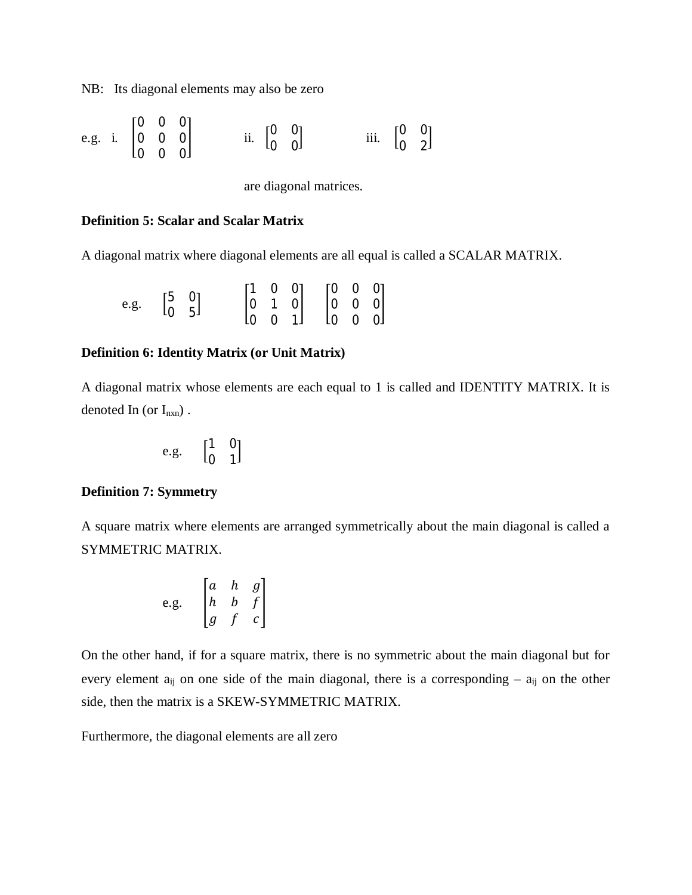NB: Its diagonal elements may also be zero

e.g. i. 
$$
\begin{bmatrix} 0 & 0 & 0 \\ 0 & 0 & 0 \\ 0 & 0 & 0 \end{bmatrix}
$$
 ii.  $\begin{bmatrix} 0 & 0 \\ 0 & 0 \end{bmatrix}$  iii.  $\begin{bmatrix} 0 & 0 \\ 0 & 2 \end{bmatrix}$ 

are diagonal matrices.

# **Definition 5: Scalar and Scalar Matrix**

A diagonal matrix where diagonal elements are all equal is called a SCALAR MATRIX.

| e.g. $\begin{bmatrix} 5 & 0 \\ 0 & 5 \end{bmatrix}$ |  |  |  |                                                                                                                                         |  |
|-----------------------------------------------------|--|--|--|-----------------------------------------------------------------------------------------------------------------------------------------|--|
|                                                     |  |  |  |                                                                                                                                         |  |
|                                                     |  |  |  | $\begin{bmatrix} 1 & 0 & 0 \\ 0 & 1 & 0 \\ 0 & 0 & 1 \end{bmatrix}$ $\begin{bmatrix} 0 & 0 & 0 \\ 0 & 0 & 0 \\ 0 & 0 & 0 \end{bmatrix}$ |  |

### **Definition 6: Identity Matrix (or Unit Matrix)**

A diagonal matrix whose elements are each equal to 1 is called and IDENTITY MATRIX. It is denoted In (or  $I_{nxn}$ ).

e.g. 
$$
\begin{bmatrix} 1 & 0 \\ 0 & 1 \end{bmatrix}
$$

## **Definition 7: Symmetry**

A square matrix where elements are arranged symmetrically about the main diagonal is called a SYMMETRIC MATRIX.

e.g. 
$$
\begin{bmatrix} a & h & g \ h & b & f \ g & f & c \end{bmatrix}
$$

On the other hand, if for a square matrix, there is no symmetric about the main diagonal but for every element  $a_{ij}$  on one side of the main diagonal, there is a corresponding –  $a_{ij}$  on the other side, then the matrix is a SKEW-SYMMETRIC MATRIX.

Furthermore, the diagonal elements are all zero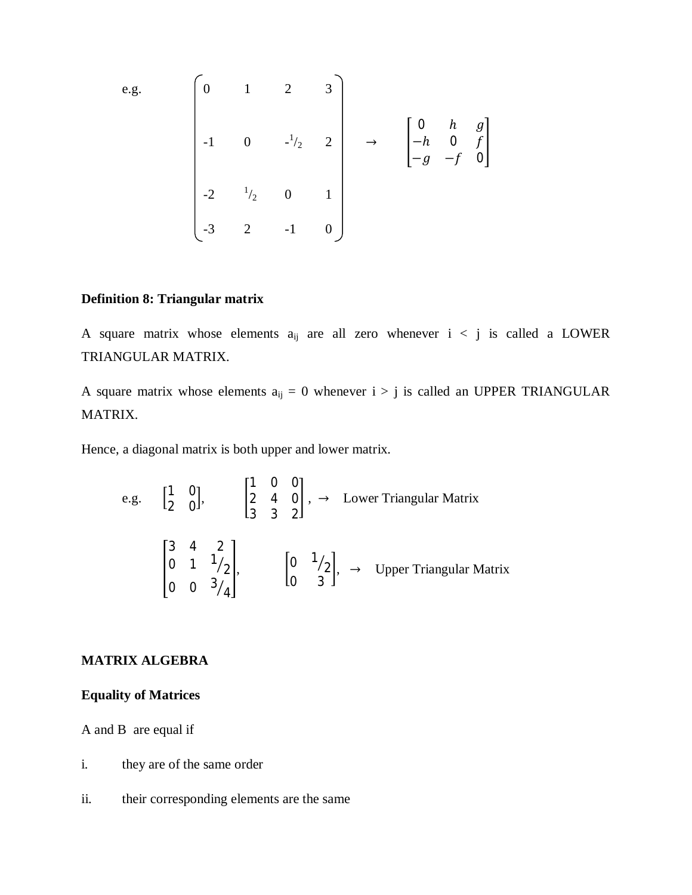e.g. 
$$
\begin{bmatrix} 0 & 1 & 2 & 3 \ 0 & & 1 & 2 & 3 \ -1 & 0 & & \frac{1}{2} & 2 \ & & & & & \end{bmatrix} \rightarrow \begin{bmatrix} 0 & h & g \ -h & 0 & f \ -g & -f & 0 \end{bmatrix}
$$

# **Definition 8: Triangular matrix**

A square matrix whose elements  $a_{ij}$  are all zero whenever  $i < j$  is called a LOWER TRIANGULAR MATRIX.

A square matrix whose elements  $a_{ij} = 0$  whenever  $i > j$  is called an UPPER TRIANGULAR MATRIX.

Hence, a diagonal matrix is both upper and lower matrix.

e.g. 
$$
\begin{bmatrix} 1 & 0 \\ 2 & 0 \end{bmatrix}
$$
,  $\begin{bmatrix} 1 & 0 & 0 \\ 2 & 4 & 0 \\ 3 & 3 & 2 \end{bmatrix}$ ,  $\rightarrow$  Lower Triangular Matrix  

$$
\begin{bmatrix} 3 & 4 & 2 \\ 0 & 1 & 1/2 \\ 0 & 0 & 3/4 \end{bmatrix}
$$
,  $\begin{bmatrix} 0 & 1/2 \\ 0 & 3 \end{bmatrix}$ ,  $\rightarrow$  Upper Triangular Matrix

# **MATRIX ALGEBRA**

# **Equality of Matrices**

A and B are equal if

- i. they are of the same order
- ii. their corresponding elements are the same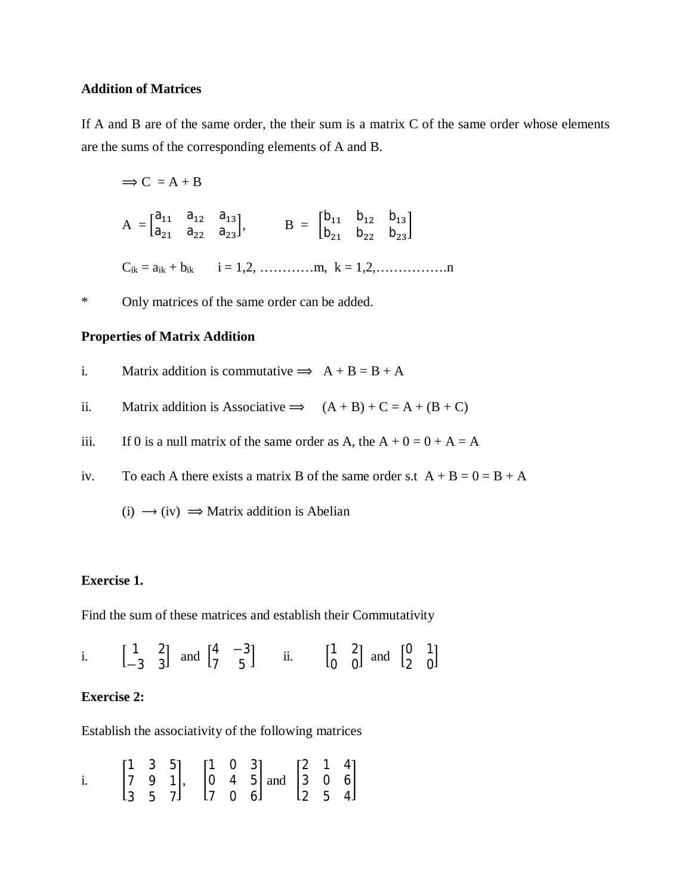### **Addition of Matrices**

If A and B are of the same order, the their sum is a matrix C of the same order whose elements are the sums of the corresponding elements of A and B.

 $\Rightarrow$  C = A + B  $A = \begin{bmatrix} a_{11} & a_{12} & a_{13} \\ a_{21} & a_{22} & a_{23} \end{bmatrix}$  $\begin{bmatrix} a_{11} & a_{12} & a_{13} \ a_{21} & a_{22} & a_{23} \end{bmatrix}$ ,  $B = \begin{bmatrix} b_{11} & b_{12} & b_{13} \ b_{21} & b_{22} & b_{23} \end{bmatrix}$  $\begin{bmatrix} b_{11} & b_{12} & b_{13} \\ b_{21} & b_{22} & b_{23} \end{bmatrix}$ Cik = aik + bik i = 1,2, …………m, k = 1,2,…………….n

\* Only matrices of the same order can be added.

#### **Properties of Matrix Addition**

i. Matrix addition is commutative 
$$
\implies
$$
 A + B = B + A

- ii. Matrix addition is Associative  $\implies$   $(A + B) + C = A + (B + C)$
- iii. If 0 is a null matrix of the same order as A, the  $A + 0 = 0 + A = A$
- iv. To each A there exists a matrix B of the same order s.t  $A + B = 0 = B + A$

 $(i) \rightarrow (iv) \rightarrow$  Matrix addition is Abelian

### **Exercise 1.**

Find the sum of these matrices and establish their Commutativity

i. 
$$
\begin{bmatrix} 1 & 2 \\ -3 & 3 \end{bmatrix}
$$
 and  $\begin{bmatrix} 4 & -3 \\ 7 & 5 \end{bmatrix}$  ii.  $\begin{bmatrix} 1 & 2 \\ 0 & 0 \end{bmatrix}$  and  $\begin{bmatrix} 0 & 1 \\ 2 & 0 \end{bmatrix}$ 

# **Exercise 2:**

Establish the associativity of the following matrices

i. 
$$
\begin{bmatrix} 1 & 3 & 5 \\ 7 & 9 & 1 \\ 3 & 5 & 7 \end{bmatrix}
$$
,  $\begin{bmatrix} 1 & 0 & 3 \\ 0 & 4 & 5 \\ 7 & 0 & 6 \end{bmatrix}$  and  $\begin{bmatrix} 2 & 1 & 4 \\ 3 & 0 & 6 \\ 2 & 5 & 4 \end{bmatrix}$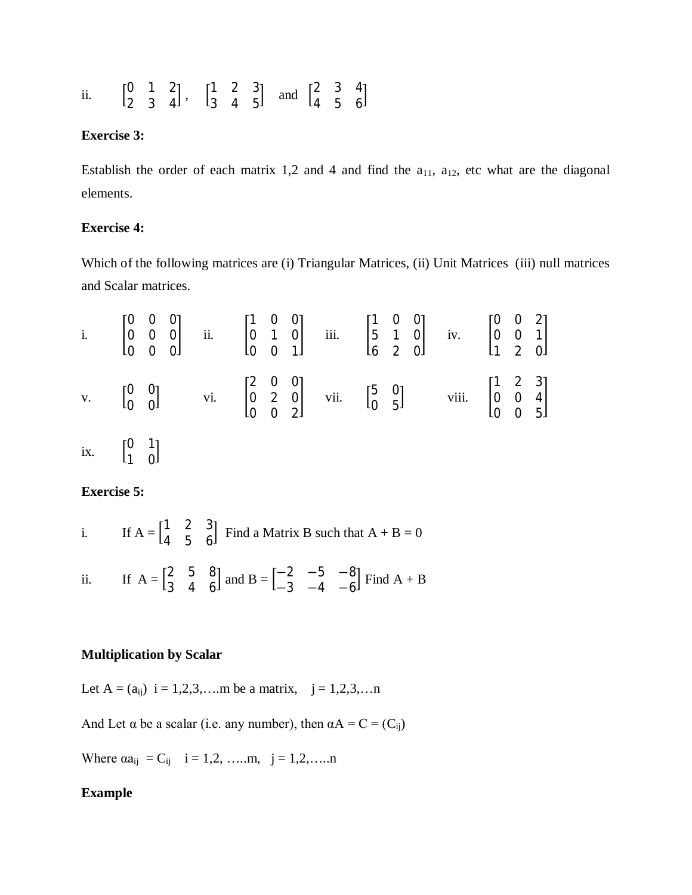ii. 
$$
\begin{bmatrix} 0 & 1 & 2 \\ 2 & 3 & 4 \end{bmatrix}
$$
,  $\begin{bmatrix} 1 & 2 & 3 \\ 3 & 4 & 5 \end{bmatrix}$  and  $\begin{bmatrix} 2 & 3 & 4 \\ 4 & 5 & 6 \end{bmatrix}$ 

#### **Exercise 3:**

Establish the order of each matrix 1,2 and 4 and find the  $a_{11}$ ,  $a_{12}$ , etc what are the diagonal elements.

# **Exercise 4:**

Which of the following matrices are (i) Triangular Matrices, (ii) Unit Matrices (iii) null matrices and Scalar matrices.

|                                                    | i. $\begin{bmatrix} 0 & 0 & 0 \\ 0 & 0 & 0 \\ 0 & 0 & 0 \end{bmatrix}$ ii. $\begin{bmatrix} 1 & 0 & 0 \\ 0 & 1 & 0 \\ 0 & 0 & 1 \end{bmatrix}$ iii. $\begin{bmatrix} 1 & 0 & 0 \\ 5 & 1 & 0 \\ 6 & 2 & 0 \end{bmatrix}$ iv. $\begin{bmatrix} 0 & 0 & 2 \\ 0 & 0 & 1 \\ 1 & 2 & 0 \end{bmatrix}$ |  |  |  |  |  |  |
|----------------------------------------------------|-------------------------------------------------------------------------------------------------------------------------------------------------------------------------------------------------------------------------------------------------------------------------------------------------|--|--|--|--|--|--|
|                                                    | v. $\begin{bmatrix} 0 & 0 \\ 0 & 0 \end{bmatrix}$ vi. $\begin{bmatrix} 2 & 0 & 0 \\ 0 & 2 & 0 \\ 0 & 0 & 2 \end{bmatrix}$ vii. $\begin{bmatrix} 5 & 0 \\ 0 & 5 \end{bmatrix}$ viii. $\begin{bmatrix} 1 & 2 & 3 \\ 0 & 0 & 4 \\ 0 & 0 & 5 \end{bmatrix}$                                         |  |  |  |  |  |  |
| ix. $\begin{bmatrix} 0 & 1 \\ 1 & 0 \end{bmatrix}$ |                                                                                                                                                                                                                                                                                                 |  |  |  |  |  |  |

**Exercise 5:**

i. If  $A = \begin{bmatrix} 1 & 2 & 3 \\ 4 & 5 & 6 \end{bmatrix}$  $\begin{bmatrix} 1 & 2 & 3 \\ 4 & 5 & 6 \end{bmatrix}$  Find a Matrix B such that  $A + B = 0$ ii. If  $A = \begin{bmatrix} 2 & 5 & 8 \\ 3 & 4 & 6 \end{bmatrix}$  $\begin{bmatrix} 2 & 5 & 8 \\ 3 & 4 & 6 \end{bmatrix}$  and B =  $\begin{bmatrix} -2 & -5 & -8 \\ -3 & -4 & -6 \end{bmatrix}$  $\begin{bmatrix} -2 & -3 & -9 \\ -3 & -4 & -6 \end{bmatrix}$  Find A + B

#### **Multiplication by Scalar**

Let A =  $(a_{ij})$  i = 1,2,3,... m be a matrix, j = 1,2,3,...n

And Let  $\alpha$  be a scalar (i.e. any number), then  $\alpha A = C = (C_{ij})$ 

Where  $\alpha a_{ij} = C_{ij}$  i = 1,2, ….. m, j = 1,2, ….. n

### **Example**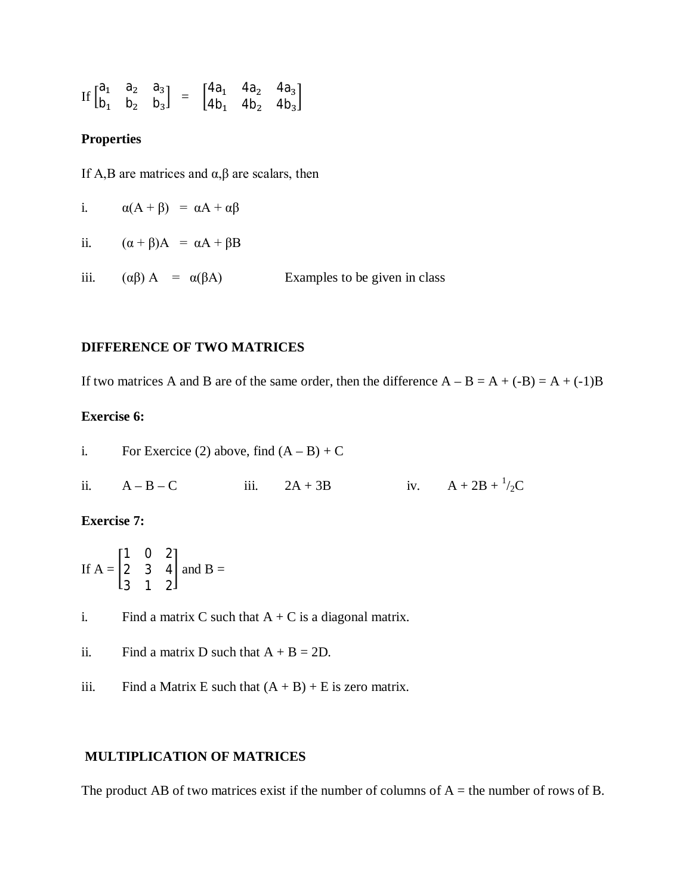If 
$$
\begin{bmatrix} a_1 & a_2 & a_3 \ b_1 & b_2 & b_3 \end{bmatrix} = \begin{bmatrix} 4a_1 & 4a_2 & 4a_3 \ 4b_1 & 4b_2 & 4b_3 \end{bmatrix}
$$

# **Properties**

If A,B are matrices and  $\alpha$ , $\beta$  are scalars, then

i.  $\alpha(A + \beta) = \alpha A + \alpha \beta$ ii.  $(\alpha + \beta)A = \alpha A + \beta B$ iii.  $(\alpha \beta) A = \alpha(\beta A)$  Examples to be given in class

### **DIFFERENCE OF TWO MATRICES**

If two matrices A and B are of the same order, then the difference  $A - B = A + (-B) = A + (-1)B$ 

## **Exercise 6:**

i. For Exercise (2) above, find 
$$
(A - B) + C
$$

ii.  $A - B - C$  iii.  $2A + 3B$  iv.  $A + 2B + \frac{1}{2}C$ 

# **Exercise 7:**

If 
$$
A = \begin{bmatrix} 1 & 0 & 2 \\ 2 & 3 & 4 \\ 3 & 1 & 2 \end{bmatrix}
$$
 and  $B =$ 

- i. Find a matrix C such that  $A + C$  is a diagonal matrix.
- ii. Find a matrix D such that  $A + B = 2D$ .
- iii. Find a Matrix E such that  $(A + B) + E$  is zero matrix.

## **MULTIPLICATION OF MATRICES**

The product AB of two matrices exist if the number of columns of  $A =$  the number of rows of B.